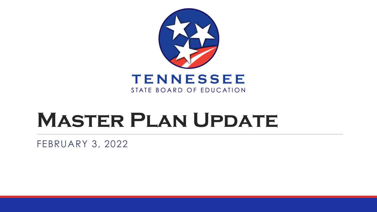

# **Master Plan Update**

FEBRUARY 3, 2022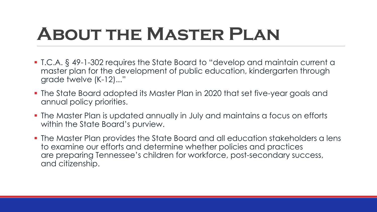# **About the Master Plan**

- T.C.A. § 49-1-302 requires the State Board to "develop and maintain current a master plan for the development of public education, kindergarten through grade twelve (K-12)..."
- The State Board adopted its Master Plan in 2020 that set five-year goals and annual policy priorities.
- The Master Plan is updated annually in July and maintains a focus on efforts within the State Board's purview.
- The Master Plan provides the State Board and all education stakeholders a lens to examine our efforts and determine whether policies and practices are preparing Tennessee's children for workforce, post-secondary success, and citizenship.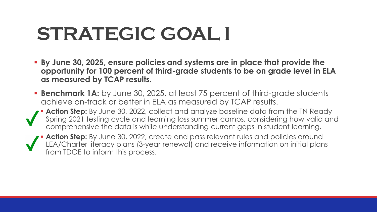# **STRATEGIC GOAL I**

- **By June 30, 2025, ensure policies and systems are in place that provide the opportunity for 100 percent of third-grade students to be on grade level in ELA as measured by TCAP results.**
- **Benchmark 1A:** by June 30, 2025, at least 75 percent of third-grade students achieve on-track or better in ELA as measured by TCAP results.
- **Action Step:** By June 30, 2022, collect and analyze baseline data from the TN Ready Spring 2021 testing cycle and learning loss summer camps, considering how valid and comprehensive the data is while understanding current gaps in student learning.

Action Step: By June 30, 2022, create and pass relevant rules and policies around LEA/Charter literacy plans (3-year renewal) and receive information on initial plans from TDOE to inform this process.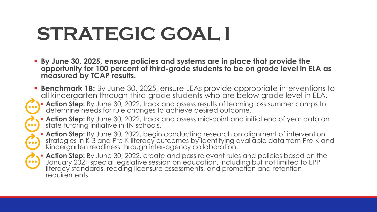# **STRATEGIC GOAL I**

- **By June 30, 2025, ensure policies and systems are in place that provide the opportunity for 100 percent of third-grade students to be on grade level in ELA as measured by TCAP results.**
- **Benchmark 1B:** By June 30, 2025, ensure LEAs provide appropriate interventions to all kindergarten through third-grade students who are below grade level in ELA. **Action Step:** By June 30, 2022, track and assess results of learning loss summer camps to determine needs for rule changes to achieve desired outcome.
	- **Action Step:** By June 30, 2022, track and assess mid-point and initial end of year data on state tutoring initiative in TN schools.
- $\overline{\mathbf{a}}$
- **Action Step:** By June 30, 2022, begin conducting research on alignment of intervention strategies in K-3 and Pre-K literacy outcomes by identifying available data from Pre-K and Kindergarten readiness through inter-agency collaboration.

**Action Step:** By June 30, 2022, create and pass relevant rules and policies based on the January 2021 special legislative session on education, including but not limited to EPP literacy standards, reading licensure assessments, and promotion and retention requirements.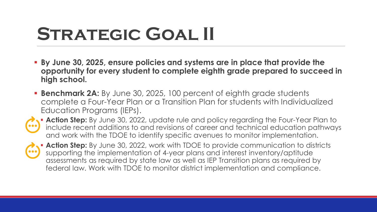# STRATEGIC GOAL II

- **By June 30, 2025, ensure policies and systems are in place that provide the opportunity for every student to complete eighth grade prepared to succeed in high school.**
- **Benchmark 2A:** By June 30, 2025, 100 percent of eighth grade students complete a Four-Year Plan or a Transition Plan for students with Individualized Education Programs (IEPs).



**Action Step:** By June 30, 2022, update rule and policy regarding the Four-Year Plan to include recent additions to and revisions of career and technical education pathways and work with the TDOE to identify specific avenues to monitor implementation.



 **Action Step:** By June 30, 2022, work with TDOE to provide communication to districts supporting the implementation of 4-year plans and interest inventory/aptitude assessments as required by state law as well as IEP Transition plans as required by federal law. Work with TDOE to monitor district implementation and compliance.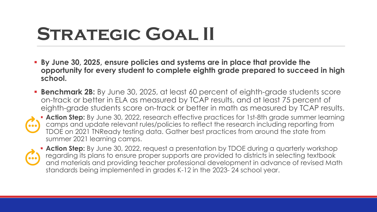# STRATEGIC GOAL II

- **By June 30, 2025, ensure policies and systems are in place that provide the opportunity for every student to complete eighth grade prepared to succeed in high school.**
- **Benchmark 2B:** By June 30, 2025, at least 60 percent of eighth-grade students score on-track or better in ELA as measured by TCAP results, and at least 75 percent of eighth-grade students score on-track or better in math as measured by TCAP results.



**Action Step:** By June 30, 2022, research effective practices for 1st-8th grade summer learning camps and update relevant rules/policies to reflect the research including reporting from TDOE on 2021 TNReady testing data. Gather best practices from around the state from summer 2021 learning camps.



**Action Step:** By June 30, 2022, request a presentation by TDOE during a quarterly workshop regarding its plans to ensure proper supports are provided to districts in selecting textbook and materials and providing teacher professional development in advance of revised Math standards being implemented in grades K-12 in the 2023- 24 school year.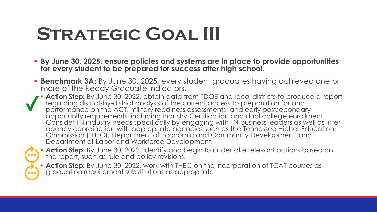# **Strategic Goal III**

- **By June 30, 2025, ensure policies and systems are in place to provide opportunities for every student to be prepared for success after high school.**
- **Benchmark 3A:** By June 30, 2025, every student graduates having achieved one or more of the Ready Graduate Indicators.
- **Action Step:** By June 30, 2022, obtain data from TDOE and local districts to produce a report regarding district-by-district analysis of the current access to preparation for and performance on the ACT, military readiness assessments, and early postsecondary opportunity requirements, including Industry Certification and dual college enrollment.<br>Consider TN industry needs specifically by engaging with TN business leaders as well as interagency coordination with appropriate agencies such as the Tennessee Higher Education Commission (THEC), Department of Economic and Community Development, and Department of Labor and Workforce Development.



 **Action Step:** By June 30, 2022, identify and begin to undertake relevant actions based on the report, such as rule and policy revisions.

**Action Step:** By June 30, 2022, work with THEC on the incorporation of TCAT courses as graduation requirement substitutions as appropriate.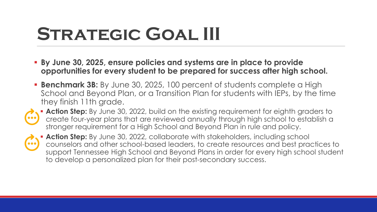### STRATEGIC GOAL III

- **By June 30, 2025, ensure policies and systems are in place to provide opportunities for every student to be prepared for success after high school.**
- **Benchmark 3B:** By June 30, 2025, 100 percent of students complete a High School and Beyond Plan, or a Transition Plan for students with IEPs, by the time they finish 11th grade.



**Action Step:** By June 30, 2022, build on the existing requirement for eighth graders to create four-year plans that are reviewed annually through high school to establish a stronger requirement for a High School and Beyond Plan in rule and policy.



**Action Step:** By June 30, 2022, collaborate with stakeholders, including school counselors and other school-based leaders, to create resources and best practices to support Tennessee High School and Beyond Plans in order for every high school student to develop a personalized plan for their post-secondary success.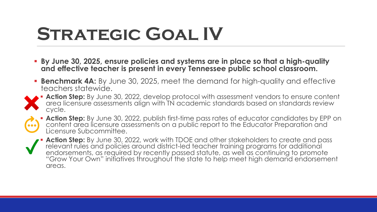# **Strategic Goal IV**

- **By June 30, 2025, ensure policies and systems are in place so that a high-quality and effective teacher is present in every Tennessee public school classroom.**
- **Benchmark 4A:** By June 30, 2025, meet the demand for high-quality and effective teachers statewide.



**Action Step:** By June 30, 2022, develop protocol with assessment vendors to ensure content area licensure assessments align with TN academic standards based on standards review cycle.



**Action Step:** By June 30, 2022, publish first-time pass rates of educator candidates by EPP on content area licensure assessments on a public report to the Educator Preparation and Licensure Subcommittee.

 **Action Step:** By June 30, 2022, work with TDOE and other stakeholders to create and pass relevant rules and policies around district-led teacher training programs for additional endorsements, as required by recently passed statute, as well as continuing to promote "Grow Your Own" initiatives throughout the state to help meet high demand endorsement areas.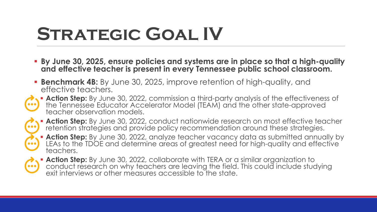# **Strategic Goal IV**

- **By June 30, 2025, ensure policies and systems are in place so that a high-quality and effective teacher is present in every Tennessee public school classroom.**
- **Benchmark 4B:** By June 30, 2025, improve retention of high-quality, and effective teachers.



**Action Step:** By June 30, 2022, commission a third-party analysis of the effectiveness of the Tennessee Educator Accelerator Model (TEAM) and the other state-approved teacher observation models.



**Action Step:** By June 30, 2022, conduct nationwide research on most effective teacher retention strategies and provide policy recommendation around these strategies.

**Action Step:** By June 30, 2022, analyze teacher vacancy data as submitted annually by LEAs to the TDOE and determine areas of greatest need for high-quality and effective teachers.



 **Action Step:** By June 30, 2022, collaborate with TERA or a similar organization to conduct research on why teachers are leaving the field. This could include studying exit interviews or other measures accessible to the state.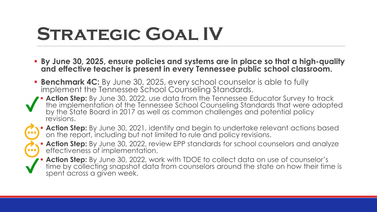# STRATEGIC GOAL IV

- **By June 30, 2025, ensure policies and systems are in place so that a high-quality and effective teacher is present in every Tennessee public school classroom.**
- **Benchmark 4C:** By June 30, 2025, every school counselor is able to fully implement the Tennessee School Counseling Standards.
- **Action Step:** By June 30, 2022, use data from the Tennessee Educator Survey to track the implementation of the Tennessee School Counseling Standards that were adopted by the State Board in 2017 as well as common challenges and potential policy revisions.
- 
- **Action Step:** By June 30, 2021, identify and begin to undertake relevant actions based on the report, including but not limited to rule and policy revisions.
- - **Action Step:** By June 30, 2022, review EPP standards for school counselors and analyze effectiveness of implementation.
	- **Action Step:** By June 30, 2022, work with TDOE to collect data on use of counselor's time by collecting snapshot data from counselors around the state on how their time is spent across a given week.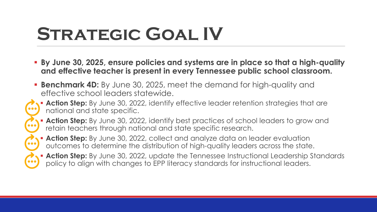# **Strategic Goal IV**

- **By June 30, 2025, ensure policies and systems are in place so that a high-quality and effective teacher is present in every Tennessee public school classroom.**
- **Benchmark 4D:** By June 30, 2025, meet the demand for high-quality and effective school leaders statewide.
- **Action Step:** By June 30, 2022, identify effective leader retention strategies that are national and state specific.
	- **Action Step:** By June 30, 2022, identify best practices of school leaders to grow and retain teachers through national and state specific research.
	- **Action Step:** By June 30, 2022, collect and analyze data on leader evaluation outcomes to determine the distribution of high-quality leaders across the state.
	- Action Step: By June 30, 2022, update the Tennessee Instructional Leadership Standards policy to align with changes to EPP literacy standards for instructional leaders.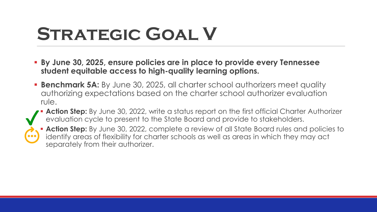### STRATEGIC GOAL V

- **By June 30, 2025, ensure policies are in place to provide every Tennessee student equitable access to high-quality learning options.**
- **Benchmark 5A:** By June 30, 2025, all charter school authorizers meet quality authorizing expectations based on the charter school authorizer evaluation rule.
- Action Step: By June 30, 2022, write a status report on the first official Charter Authorizer evaluation cycle to present to the State Board and provide to stakeholders.



**Action Step:** By June 30, 2022, complete a review of all State Board rules and policies to identify areas of flexibility for charter schools as well as areas in which they may act separately from their authorizer.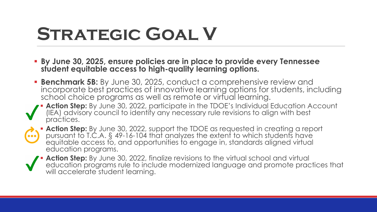# STRATEGIC GOAL V

- **By June 30, 2025, ensure policies are in place to provide every Tennessee student equitable access to high-quality learning options.**
- **Benchmark 5B:** By June 30, 2025, conduct a comprehensive review and incorporate best practices of innovative learning options for students, including school choice programs as well as remote or virtual learning.
- Action Step: By June 30, 2022, participate in the TDOE's Individual Education Account (IEA) advisory council to identify any necessary rule revisions to align with best practices.
- **Action Step:** By June 30, 2022, support the TDOE as requested in creating a report pursuant to T.C.A. § 49-16-104 that analyzes the extent to which students have  $\bullet\bullet\bullet$ equitable access to, and opportunities to engage in, standards aligned virtual education programs.
	- **Action Step:** By June 30, 2022, finalize revisions to the virtual school and virtual education programs rule to include modernized language and promote practices that will accelerate student learning.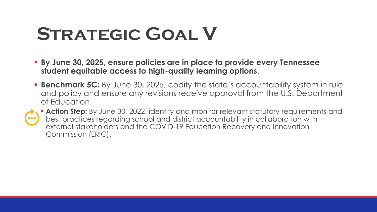# STRATEGIC GOAL V

- **By June 30, 2025, ensure policies are in place to provide every Tennessee student equitable access to high-quality learning options.**
- **Benchmark 5C:** By June 30, 2025, codify the state's accountability system in rule and policy and ensure any revisions receive approval from the U.S. Department of Education.



 **Action Step:** By June 30, 2022, identify and monitor relevant statutory requirements and best practices regarding school and district accountability in collaboration with external stakeholders and the COVID-19 Education Recovery and Innovation Commission (ERIC).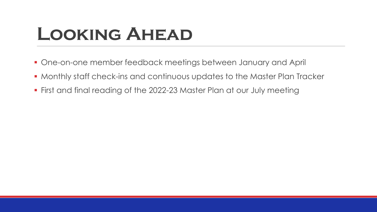#### **Looking Ahead**

- One-on-one member feedback meetings between January and April
- Monthly staff check-ins and continuous updates to the Master Plan Tracker
- First and final reading of the 2022-23 Master Plan at our July meeting